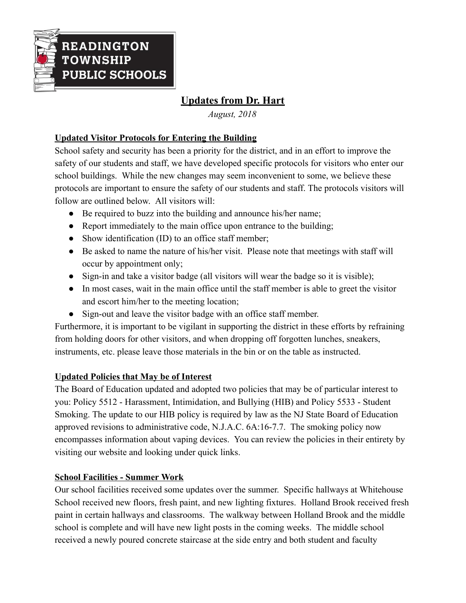

# **Updates from Dr. Hart**

*August, 2018*

## **Updated Visitor Protocols for Entering the Building**

School safety and security has been a priority for the district, and in an effort to improve the safety of our students and staff, we have developed specific protocols for visitors who enter our school buildings. While the new changes may seem inconvenient to some, we believe these protocols are important to ensure the safety of our students and staff. The protocols visitors will follow are outlined below. All visitors will:

- Be required to buzz into the building and announce his/her name;
- Report immediately to the main office upon entrance to the building;
- Show identification (ID) to an office staff member;
- Be asked to name the nature of his/her visit. Please note that meetings with staff will occur by appointment only;
- Sign-in and take a visitor badge (all visitors will wear the badge so it is visible);
- In most cases, wait in the main office until the staff member is able to greet the visitor and escort him/her to the meeting location;
- Sign-out and leave the visitor badge with an office staff member.

Furthermore, it is important to be vigilant in supporting the district in these efforts by refraining from holding doors for other visitors, and when dropping off forgotten lunches, sneakers, instruments, etc. please leave those materials in the bin or on the table as instructed.

#### **Updated Policies that May be of Interest**

The Board of Education updated and adopted two policies that may be of particular interest to you: Policy 5512 - Harassment, Intimidation, and Bullying (HIB) and Policy 5533 - Student Smoking. The update to our HIB policy is required by law as the NJ State Board of Education approved revisions to administrative code, N.J.A.C. 6A:16-7.7. The smoking policy now encompasses information about vaping devices. You can review the policies in their entirety by visiting our website and looking under quick links.

#### **School Facilities - Summer Work**

Our school facilities received some updates over the summer. Specific hallways at Whitehouse School received new floors, fresh paint, and new lighting fixtures. Holland Brook received fresh paint in certain hallways and classrooms. The walkway between Holland Brook and the middle school is complete and will have new light posts in the coming weeks. The middle school received a newly poured concrete staircase at the side entry and both student and faculty